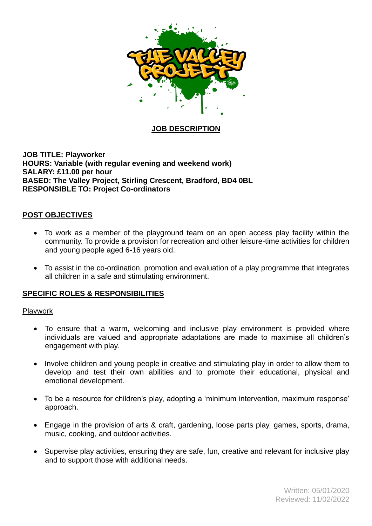

## **JOB DESCRIPTION**

**JOB TITLE: Playworker HOURS: Variable (with regular evening and weekend work) SALARY: £11.00 per hour BASED: The Valley Project, Stirling Crescent, Bradford, BD4 0BL RESPONSIBLE TO: Project Co-ordinators**

### **POST OBJECTIVES**

- To work as a member of the playground team on an open access play facility within the community. To provide a provision for recreation and other leisure-time activities for children and young people aged 6-16 years old.
- To assist in the co-ordination, promotion and evaluation of a play programme that integrates all children in a safe and stimulating environment.

### **SPECIFIC ROLES & RESPONSIBILITIES**

### Playwork

- To ensure that a warm, welcoming and inclusive play environment is provided where individuals are valued and appropriate adaptations are made to maximise all children's engagement with play.
- Involve children and young people in creative and stimulating play in order to allow them to develop and test their own abilities and to promote their educational, physical and emotional development.
- To be a resource for children's play, adopting a 'minimum intervention, maximum response' approach.
- Engage in the provision of arts & craft, gardening, loose parts play, games, sports, drama, music, cooking, and outdoor activities.
- Supervise play activities, ensuring they are safe, fun, creative and relevant for inclusive play and to support those with additional needs.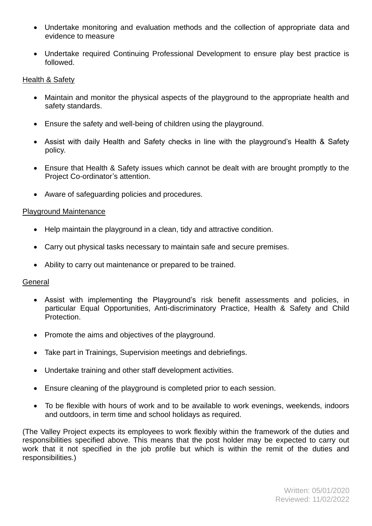- Undertake monitoring and evaluation methods and the collection of appropriate data and evidence to measure
- Undertake required Continuing Professional Development to ensure play best practice is followed.

## Health & Safety

- Maintain and monitor the physical aspects of the playground to the appropriate health and safety standards.
- Ensure the safety and well-being of children using the playground.
- Assist with daily Health and Safety checks in line with the playground's Health & Safety policy.
- Ensure that Health & Safety issues which cannot be dealt with are brought promptly to the Project Co-ordinator's attention.
- Aware of safeguarding policies and procedures.

#### Playground Maintenance

- Help maintain the playground in a clean, tidy and attractive condition.
- Carry out physical tasks necessary to maintain safe and secure premises.
- Ability to carry out maintenance or prepared to be trained.

### **General**

- Assist with implementing the Playground's risk benefit assessments and policies, in particular Equal Opportunities, Anti-discriminatory Practice, Health & Safety and Child Protection.
- Promote the aims and objectives of the playground.
- Take part in Trainings, Supervision meetings and debriefings.
- Undertake training and other staff development activities.
- Ensure cleaning of the playground is completed prior to each session.
- To be flexible with hours of work and to be available to work evenings, weekends, indoors and outdoors, in term time and school holidays as required.

(The Valley Project expects its employees to work flexibly within the framework of the duties and responsibilities specified above. This means that the post holder may be expected to carry out work that it not specified in the job profile but which is within the remit of the duties and responsibilities.)